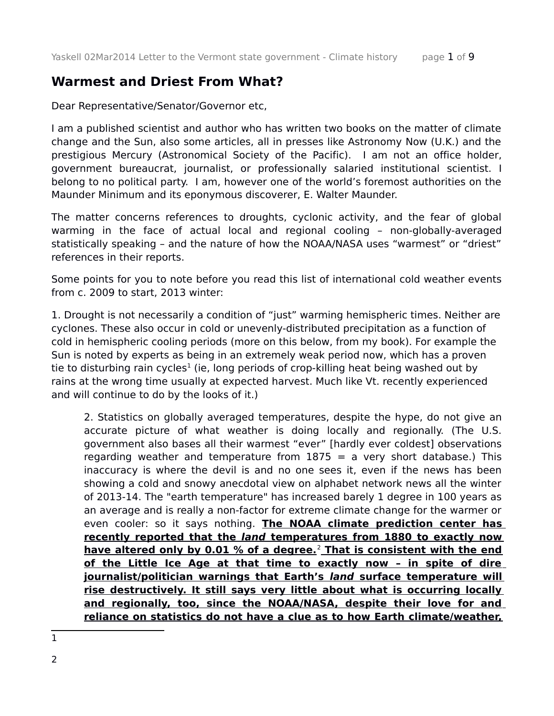## **Warmest and Driest From What?**

Dear Representative/Senator/Governor etc,

I am a published scientist and author who has written two books on the matter of climate change and the Sun, also some articles, all in presses like Astronomy Now (U.K.) and the prestigious Mercury (Astronomical Society of the Pacific). I am not an office holder, government bureaucrat, journalist, or professionally salaried institutional scientist. I belong to no political party. I am, however one of the world's foremost authorities on the Maunder Minimum and its eponymous discoverer, E. Walter Maunder.

The matter concerns references to droughts, cyclonic activity, and the fear of global warming in the face of actual local and regional cooling – non-globally-averaged statistically speaking – and the nature of how the NOAA/NASA uses "warmest" or "driest" references in their reports.

Some points for you to note before you read this list of international cold weather events from c. 2009 to start, 2013 winter:

1. Drought is not necessarily a condition of "just" warming hemispheric times. Neither are cyclones. These also occur in cold or unevenly-distributed precipitation as a function of cold in hemispheric cooling periods (more on this below, from my book). For example the Sun is noted by experts as being in an extremely weak period now, which has a proven tie to disturbing rain cycles<sup>[1](#page-0-0)</sup> (ie, long periods of crop-killing heat being washed out by rains at the wrong time usually at expected harvest. Much like Vt. recently experienced and will continue to do by the looks of it.)

2. Statistics on globally averaged temperatures, despite the hype, do not give an accurate picture of what weather is doing locally and regionally. (The U.S. government also bases all their warmest "ever" [hardly ever coldest] observations regarding weather and temperature from  $1875$  = a very short database.) This inaccuracy is where the devil is and no one sees it, even if the news has been showing a cold and snowy anecdotal view on alphabet network news all the winter of 2013-14. The "earth temperature" has increased barely 1 degree in 100 years as an average and is really a non-factor for extreme climate change for the warmer or even cooler: so it says nothing. **The NOAA climate prediction center has recently reported that the land temperatures from 1880 to exactly now have altered only by 0.01 % of a degree.**[2](#page-0-1)  **That is consistent with the end of the Little Ice Age at that time to exactly now – in spite of dire journalist/politician warnings that Earth's land surface temperature will rise destructively. It still says very little about what is occurring locally and regionally, too, since the NOAA/NASA, despite their love for and reliance on statistics do not have a clue as to how Earth climate/weather,**

<span id="page-0-1"></span><span id="page-0-0"></span>1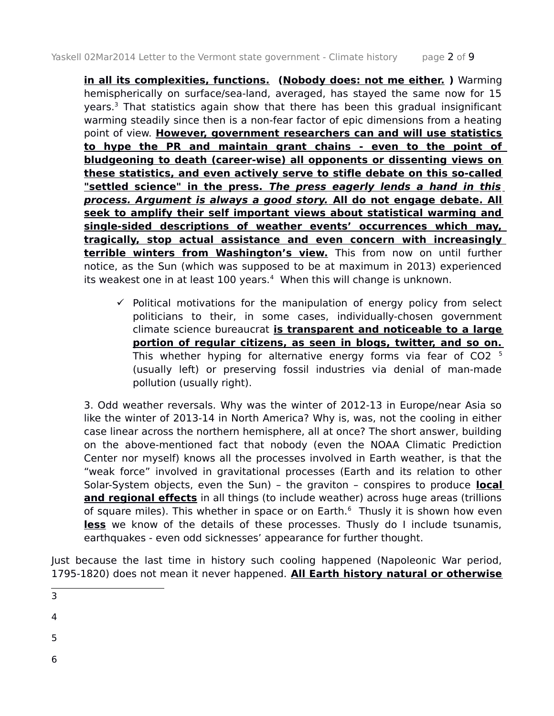**in all its complexities, functions. (Nobody does: not me either.)** Warming hemispherically on surface/sea-land, averaged, has stayed the same now for 15 years.<sup>[3](#page-1-0)</sup> That statistics again show that there has been this gradual insignificant warming steadily since then is a non-fear factor of epic dimensions from a heating point of view. **However, government researchers can and will use statistics to hype the PR and maintain grant chains - even to the point of bludgeoning to death (career-wise) all opponents or dissenting views on these statistics, and even actively serve to stifle debate on this so-called "settled science" in the press. The press eagerly lends a hand in this process. Argument is always a good story. All do not engage debate. All seek to amplify their self important views about statistical warming and single-sided descriptions of weather events' occurrences which may, tragically, stop actual assistance and even concern with increasingly terrible winters from Washington's view.** This from now on until further notice, as the Sun (which was supposed to be at maximum in 2013) experienced its weakest one in at least 100 years.<sup>[4](#page-1-1)</sup> When this will change is unknown.

 $\checkmark$  Political motivations for the manipulation of energy policy from select politicians to their, in some cases, individually-chosen government climate science bureaucrat **is transparent and noticeable to a large portion of regular citizens, as seen in blogs, twitter, and so on.** Thiswhether hyping for alternative energy forms via fear of CO2<sup>5</sup> (usually left) or preserving fossil industries via denial of man-made pollution (usually right).

3. Odd weather reversals. Why was the winter of 2012-13 in Europe/near Asia so like the winter of 2013-14 in North America? Why is, was, not the cooling in either case linear across the northern hemisphere, all at once? The short answer, building on the above-mentioned fact that nobody (even the NOAA Climatic Prediction Center nor myself) knows all the processes involved in Earth weather, is that the "weak force" involved in gravitational processes (Earth and its relation to other Solar-System objects, even the Sun) – the graviton – conspires to produce **local and regional effects** in all things (to include weather) across huge areas (trillions of square miles). This whether in space or on Earth.<sup>[6](#page-1-3)</sup> Thusly it is shown how even **less** we know of the details of these processes. Thusly do I include tsunamis, earthquakes - even odd sicknesses' appearance for further thought.

Just because the last time in history such cooling happened (Napoleonic War period, 1795-1820) does not mean it never happened. **All Earth history natural or otherwise**

- <span id="page-1-0"></span>3
- 4
- <span id="page-1-1"></span>
- <span id="page-1-2"></span>5
- <span id="page-1-3"></span>6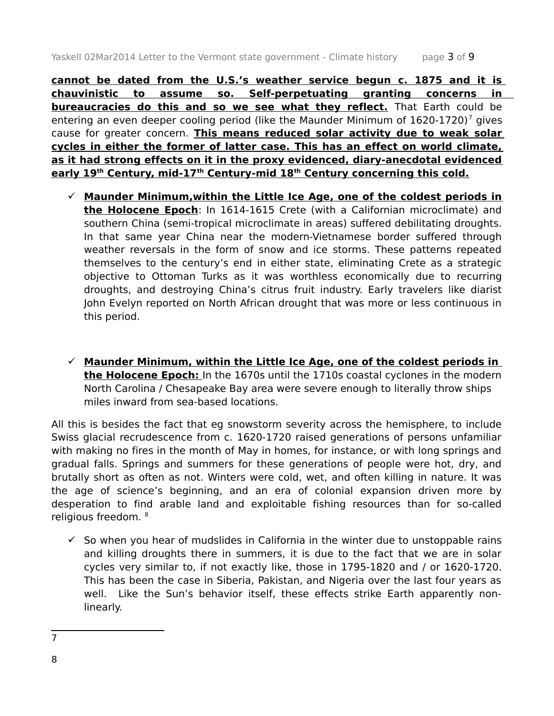**cannot be dated from the U.S.'s weather service begun c. 1875 and it is chauvinistic to assume so. Self-perpetuating granting concerns in bureaucracies do this and so we see what they reflect.** That Earth could be entering an even deeper cooling period (like the Maunder Minimum of  $1620-1720$  $1620-1720$  $1620-1720$ )<sup>7</sup> gives cause for greater concern. **This means reduced solar activity due to weak solar cycles in either the former of latter case. This has an effect on world climate, as it had strong effects on it in the proxy evidenced, diary-anecdotal evidenced early 19th Century, mid-17th Century-mid 18th Century concerning this cold.**

- **Maunder Minimum,within the Little Ice Age, one of the coldest periods in the Holocene Epoch**: In 1614-1615 Crete (with a Californian microclimate) and southern China (semi-tropical microclimate in areas) suffered debilitating droughts. In that same year China near the modern-Vietnamese border suffered through weather reversals in the form of snow and ice storms. These patterns repeated themselves to the century's end in either state, eliminating Crete as a strategic objective to Ottoman Turks as it was worthless economically due to recurring droughts, and destroying China's citrus fruit industry. Early travelers like diarist John Evelyn reported on North African drought that was more or less continuous in this period.
- **Maunder Minimum, within the Little Ice Age, one of the coldest periods in the Holocene Epoch:** In the 1670s until the 1710s coastal cyclones in the modern North Carolina / Chesapeake Bay area were severe enough to literally throw ships miles inward from sea-based locations.

All this is besides the fact that eg snowstorm severity across the hemisphere, to include Swiss glacial recrudescence from c. 1620-1720 raised generations of persons unfamiliar with making no fires in the month of May in homes, for instance, or with long springs and gradual falls. Springs and summers for these generations of people were hot, dry, and brutally short as often as not. Winters were cold, wet, and often killing in nature. It was the age of science's beginning, and an era of colonial expansion driven more by desperation to find arable land and exploitable fishing resources than for so-called religious freedom. [8](#page-2-1)

 $\checkmark$  So when you hear of mudslides in California in the winter due to unstoppable rains and killing droughts there in summers, it is due to the fact that we are in solar cycles very similar to, if not exactly like, those in 1795-1820 and / or 1620-1720. This has been the case in Siberia, Pakistan, and Nigeria over the last four years as well. Like the Sun's behavior itself, these effects strike Earth apparently nonlinearly.

<span id="page-2-0"></span><sup>7</sup>

<span id="page-2-1"></span><sup>8</sup>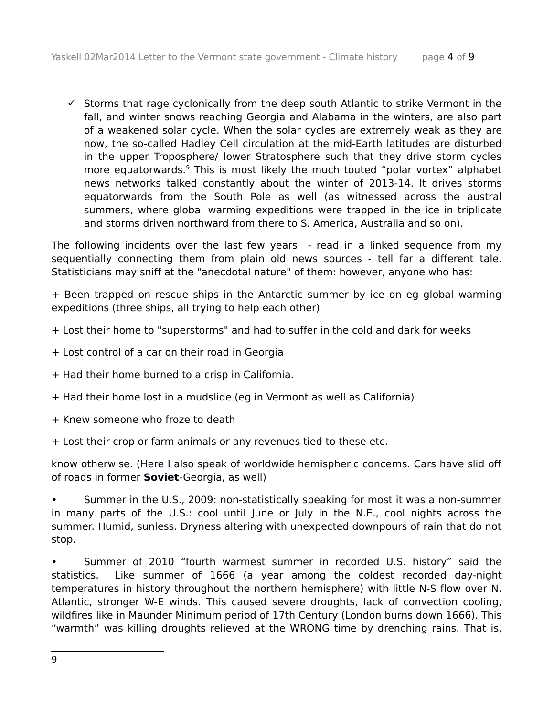$\checkmark$  Storms that rage cyclonically from the deep south Atlantic to strike Vermont in the fall, and winter snows reaching Georgia and Alabama in the winters, are also part of a weakened solar cycle. When the solar cycles are extremely weak as they are now, the so-called Hadley Cell circulation at the mid-Earth latitudes are disturbed in the upper Troposphere/ lower Stratosphere such that they drive storm cycles more equatorwards.<sup>[9](#page-3-0)</sup> This is most likely the much touted "polar vortex" alphabet news networks talked constantly about the winter of 2013-14. It drives storms equatorwards from the South Pole as well (as witnessed across the austral summers, where global warming expeditions were trapped in the ice in triplicate and storms driven northward from there to S. America, Australia and so on).

The following incidents over the last few years - read in a linked sequence from my sequentially connecting them from plain old news sources - tell far a different tale. Statisticians may sniff at the "anecdotal nature" of them: however, anyone who has:

+ Been trapped on rescue ships in the Antarctic summer by ice on eg global warming expeditions (three ships, all trying to help each other)

+ Lost their home to "superstorms" and had to suffer in the cold and dark for weeks

- + Lost control of a car on their road in Georgia
- + Had their home burned to a crisp in California.
- + Had their home lost in a mudslide (eg in Vermont as well as California)
- + Knew someone who froze to death
- + Lost their crop or farm animals or any revenues tied to these etc.

know otherwise. (Here I also speak of worldwide hemispheric concerns. Cars have slid off of roads in former **Soviet**-Georgia, as well)

• Summer in the U.S., 2009: non-statistically speaking for most it was a non-summer in many parts of the U.S.: cool until June or July in the N.E., cool nights across the summer. Humid, sunless. Dryness altering with unexpected downpours of rain that do not stop.

<span id="page-3-0"></span>• Summer of 2010 "fourth warmest summer in recorded U.S. history" said the statistics. Like summer of 1666 (a year among the coldest recorded day-night temperatures in history throughout the northern hemisphere) with little N-S flow over N. Atlantic, stronger W-E winds. This caused severe droughts, lack of convection cooling, wildfires like in Maunder Minimum period of 17th Century (London burns down 1666). This "warmth" was killing droughts relieved at the WRONG time by drenching rains. That is,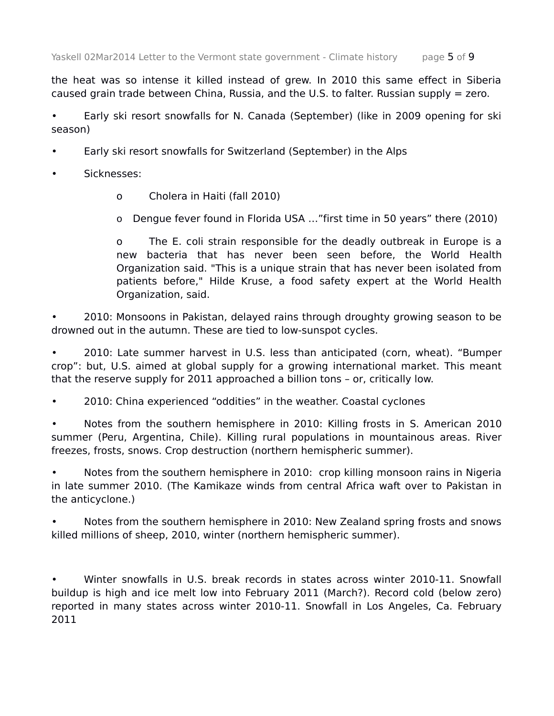the heat was so intense it killed instead of grew. In 2010 this same effect in Siberia caused grain trade between China, Russia, and the U.S. to falter. Russian supply = zero.

• Early ski resort snowfalls for N. Canada (September) (like in 2009 opening for ski season)

- Early ski resort snowfalls for Switzerland (September) in the Alps
- Sicknesses:
	- o Cholera in Haiti (fall 2010)

o Dengue fever found in Florida USA …"first time in 50 years" there (2010)

o The E. coli strain responsible for the deadly outbreak in Europe is a new bacteria that has never been seen before, the World Health Organization said. "This is a unique strain that has never been isolated from patients before," Hilde Kruse, a food safety expert at the World Health Organization, said.

• 2010: Monsoons in Pakistan, delayed rains through droughty growing season to be drowned out in the autumn. These are tied to low-sunspot cycles.

• 2010: Late summer harvest in U.S. less than anticipated (corn, wheat). "Bumper crop": but, U.S. aimed at global supply for a growing international market. This meant that the reserve supply for 2011 approached a billion tons – or, critically low.

• 2010: China experienced "oddities" in the weather. Coastal cyclones

• Notes from the southern hemisphere in 2010: Killing frosts in S. American 2010 summer (Peru, Argentina, Chile). Killing rural populations in mountainous areas. River freezes, frosts, snows. Crop destruction (northern hemispheric summer).

• Notes from the southern hemisphere in 2010: crop killing monsoon rains in Nigeria in late summer 2010. (The Kamikaze winds from central Africa waft over to Pakistan in the anticyclone.)

• Notes from the southern hemisphere in 2010: New Zealand spring frosts and snows killed millions of sheep, 2010, winter (northern hemispheric summer).

• Winter snowfalls in U.S. break records in states across winter 2010-11. Snowfall buildup is high and ice melt low into February 2011 (March?). Record cold (below zero) reported in many states across winter 2010-11. Snowfall in Los Angeles, Ca. February 2011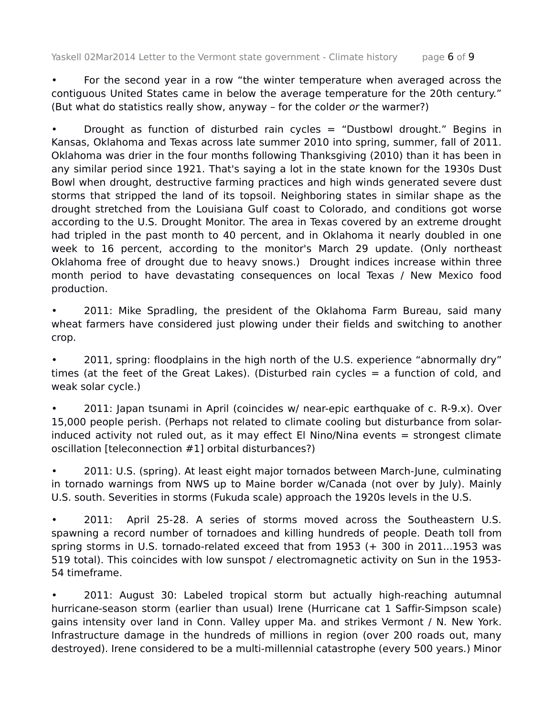• For the second year in a row "the winter temperature when averaged across the contiguous United States came in below the average temperature for the 20th century." (But what do statistics really show, anyway – for the colder or the warmer?)

Drought as function of disturbed rain cycles = "Dustbowl drought." Begins in Kansas, Oklahoma and Texas across late summer 2010 into spring, summer, fall of 2011. Oklahoma was drier in the four months following Thanksgiving (2010) than it has been in any similar period since 1921. That's saying a lot in the state known for the 1930s Dust Bowl when drought, destructive farming practices and high winds generated severe dust storms that stripped the land of its topsoil. Neighboring states in similar shape as the drought stretched from the Louisiana Gulf coast to Colorado, and conditions got worse according to the U.S. Drought Monitor. The area in Texas covered by an extreme drought had tripled in the past month to 40 percent, and in Oklahoma it nearly doubled in one week to 16 percent, according to the monitor's March 29 update. (Only northeast Oklahoma free of drought due to heavy snows.) Drought indices increase within three month period to have devastating consequences on local Texas / New Mexico food production.

• 2011: Mike Spradling, the president of the Oklahoma Farm Bureau, said many wheat farmers have considered just plowing under their fields and switching to another crop.

• 2011, spring: floodplains in the high north of the U.S. experience "abnormally dry" times (at the feet of the Great Lakes). (Disturbed rain cycles = a function of cold, and weak solar cycle.)

• 2011: Japan tsunami in April (coincides w/ near-epic earthquake of c. R-9.x). Over 15,000 people perish. (Perhaps not related to climate cooling but disturbance from solarinduced activity not ruled out, as it may effect El Nino/Nina events = strongest climate oscillation [teleconnection #1] orbital disturbances?)

• 2011: U.S. (spring). At least eight major tornados between March-June, culminating in tornado warnings from NWS up to Maine border w/Canada (not over by July). Mainly U.S. south. Severities in storms (Fukuda scale) approach the 1920s levels in the U.S.

• 2011: April 25-28. A series of storms moved across the Southeastern U.S. spawning a record number of tornadoes and killing hundreds of people. Death toll from spring storms in U.S. tornado-related exceed that from 1953 (+ 300 in 2011...1953 was 519 total). This coincides with low sunspot / electromagnetic activity on Sun in the 1953- 54 timeframe.

• 2011: August 30: Labeled tropical storm but actually high-reaching autumnal hurricane-season storm (earlier than usual) Irene (Hurricane cat 1 Saffir-Simpson scale) gains intensity over land in Conn. Valley upper Ma. and strikes Vermont / N. New York. Infrastructure damage in the hundreds of millions in region (over 200 roads out, many destroyed). Irene considered to be a multi-millennial catastrophe (every 500 years.) Minor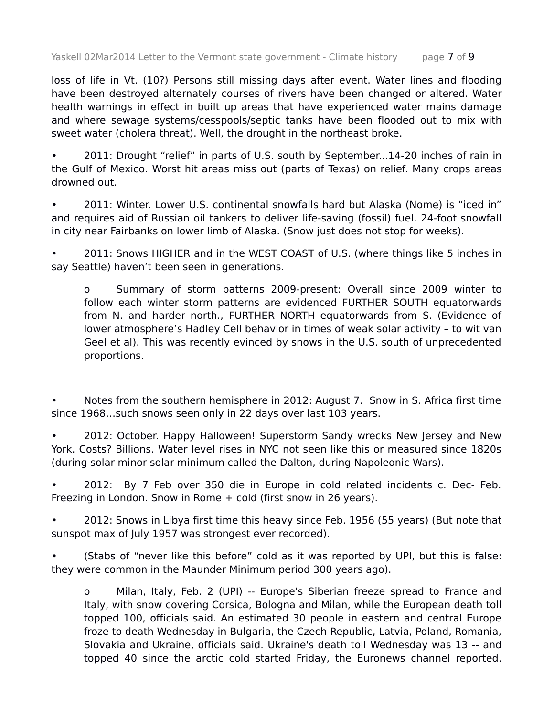loss of life in Vt. (10?) Persons still missing days after event. Water lines and flooding have been destroyed alternately courses of rivers have been changed or altered. Water health warnings in effect in built up areas that have experienced water mains damage and where sewage systems/cesspools/septic tanks have been flooded out to mix with sweet water (cholera threat). Well, the drought in the northeast broke.

• 2011: Drought "relief" in parts of U.S. south by September...14-20 inches of rain in the Gulf of Mexico. Worst hit areas miss out (parts of Texas) on relief. Many crops areas drowned out.

• 2011: Winter. Lower U.S. continental snowfalls hard but Alaska (Nome) is "iced in" and requires aid of Russian oil tankers to deliver life-saving (fossil) fuel. 24-foot snowfall in city near Fairbanks on lower limb of Alaska. (Snow just does not stop for weeks).

• 2011: Snows HIGHER and in the WEST COAST of U.S. (where things like 5 inches in say Seattle) haven't been seen in generations.

o Summary of storm patterns 2009-present: Overall since 2009 winter to follow each winter storm patterns are evidenced FURTHER SOUTH equatorwards from N. and harder north., FURTHER NORTH equatorwards from S. (Evidence of lower atmosphere's Hadley Cell behavior in times of weak solar activity – to wit van Geel et al). This was recently evinced by snows in the U.S. south of unprecedented proportions.

• Notes from the southern hemisphere in 2012: August 7. Snow in S. Africa first time since 1968…such snows seen only in 22 days over last 103 years.

• 2012: October. Happy Halloween! Superstorm Sandy wrecks New Jersey and New York. Costs? Billions. Water level rises in NYC not seen like this or measured since 1820s (during solar minor solar minimum called the Dalton, during Napoleonic Wars).

• 2012: By 7 Feb over 350 die in Europe in cold related incidents c. Dec- Feb. Freezing in London. Snow in Rome + cold (first snow in 26 years).

• 2012: Snows in Libya first time this heavy since Feb. 1956 (55 years) (But note that sunspot max of July 1957 was strongest ever recorded).

(Stabs of "never like this before" cold as it was reported by UPI, but this is false: they were common in the Maunder Minimum period 300 years ago).

o Milan, Italy, Feb. 2 (UPI) -- Europe's Siberian freeze spread to France and Italy, with snow covering Corsica, Bologna and Milan, while the European death toll topped 100, officials said. An estimated 30 people in eastern and central Europe froze to death Wednesday in Bulgaria, the Czech Republic, Latvia, Poland, Romania, Slovakia and Ukraine, officials said. Ukraine's death toll Wednesday was 13 -- and topped 40 since the arctic cold started Friday, the Euronews channel reported.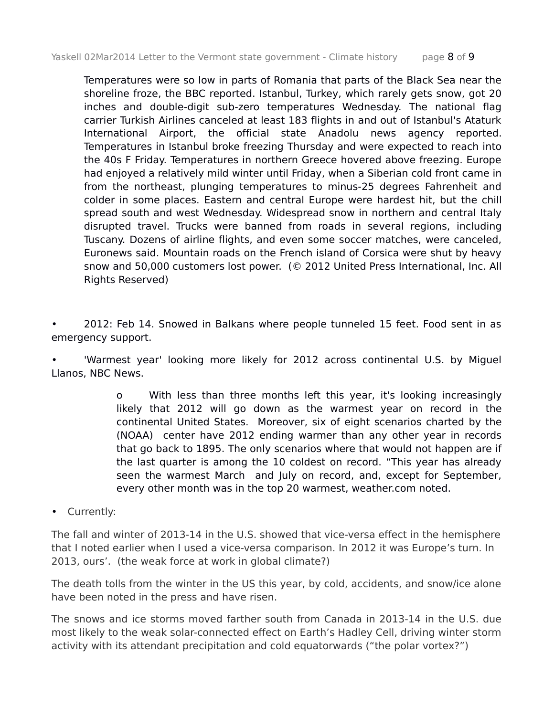Temperatures were so low in parts of Romania that parts of the Black Sea near the shoreline froze, the BBC reported. Istanbul, Turkey, which rarely gets snow, got 20 inches and double-digit sub-zero temperatures Wednesday. The national flag carrier Turkish Airlines canceled at least 183 flights in and out of Istanbul's Ataturk International Airport, the official state Anadolu news agency reported. Temperatures in Istanbul broke freezing Thursday and were expected to reach into the 40s F Friday. Temperatures in northern Greece hovered above freezing. Europe had enjoyed a relatively mild winter until Friday, when a Siberian cold front came in from the northeast, plunging temperatures to minus-25 degrees Fahrenheit and colder in some places. Eastern and central Europe were hardest hit, but the chill spread south and west Wednesday. Widespread snow in northern and central Italy disrupted travel. Trucks were banned from roads in several regions, including Tuscany. Dozens of airline flights, and even some soccer matches, were canceled, Euronews said. Mountain roads on the French island of Corsica were shut by heavy snow and 50,000 customers lost power. (© 2012 United Press International, Inc. All Rights Reserved)

• 2012: Feb 14. Snowed in Balkans where people tunneled 15 feet. Food sent in as emergency support.

• 'Warmest year' looking more likely for 2012 across continental U.S. by Miguel Llanos, NBC News.

> o With less than three months left this year, it's looking increasingly likely that 2012 will go down as the warmest year on record in the continental United States. Moreover, six of eight scenarios charted by the (NOAA) center have 2012 ending warmer than any other year in records that go back to 1895. The only scenarios where that would not happen are if the last quarter is among the 10 coldest on record. "This year has already seen the warmest March and July on record, and, except for September, every other month was in the top 20 warmest, weather.com noted.

• Currently:

The fall and winter of 2013-14 in the U.S. showed that vice-versa effect in the hemisphere that I noted earlier when I used a vice-versa comparison. In 2012 it was Europe's turn. In 2013, ours'. (the weak force at work in global climate?)

The death tolls from the winter in the US this year, by cold, accidents, and snow/ice alone have been noted in the press and have risen.

The snows and ice storms moved farther south from Canada in 2013-14 in the U.S. due most likely to the weak solar-connected effect on Earth's Hadley Cell, driving winter storm activity with its attendant precipitation and cold equatorwards ("the polar vortex?")